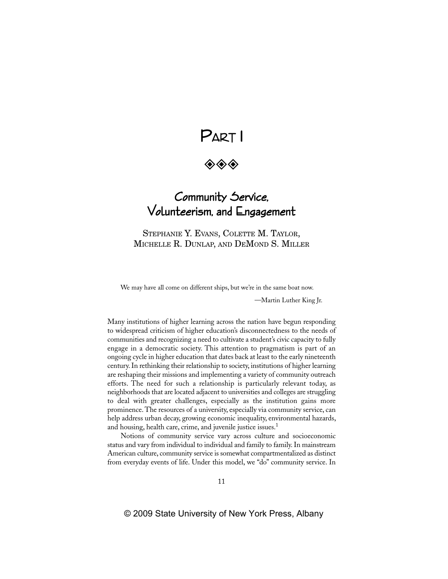## PART 1

 $\Leftrightarrow$   $\Leftrightarrow$   $\Leftrightarrow$ 

## Community Service, Volunteerism, and Engagement

STEPHANIE Y. EVANS, COLETTE M. TAYLOR, MICHELLE R. DUNLAP, AND DEMOND S. MILLER

We may have all come on different ships, but we're in the same boat now.

—Martin Luther King Jr.

Many institutions of higher learning across the nation have begun responding to widespread criticism of higher education's disconnectedness to the needs of communities and recognizing a need to cultivate a student's civic capacity to fully engage in a democratic society. This attention to pragmatism is part of an ongoing cycle in higher education that dates back at least to the early nineteenth century. In rethinking their relationship to society, institutions of higher learning are reshaping their missions and implementing a variety of community outreach efforts. The need for such a relationship is particularly relevant today, as neighborhoods that are located adjacent to universities and colleges are struggling to deal with greater challenges, especially as the institution gains more prominence. The resources of a university, especially via community service, can help address urban decay, growing economic inequality, environmental hazards, and housing, health care, crime, and juvenile justice issues.<sup>1</sup>

Notions of community service vary across culture and socioeconomic status and vary from individual to individual and family to family. In mainstream American culture, community service is somewhat compartmentalized as distinct from everyday events of life. Under this model, we "do" community service. In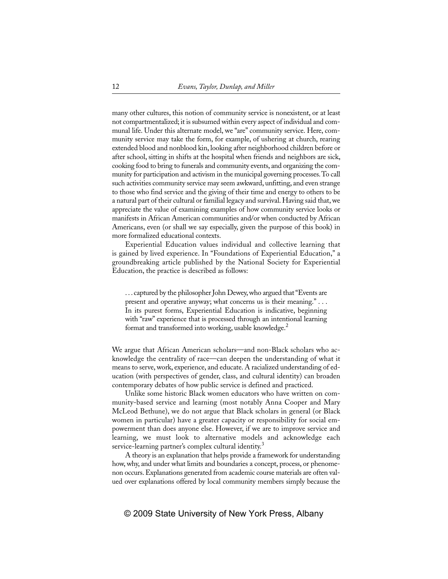many other cultures, this notion of community service is nonexistent, or at least not compartmentalized; it is subsumed within every aspect of individual and communal life. Under this alternate model, we "are" community service. Here, community service may take the form, for example, of ushering at church, rearing extended blood and nonblood kin, looking after neighborhood children before or after school, sitting in shifts at the hospital when friends and neighbors are sick, cooking food to bring to funerals and community events, and organizing the community for participation and activism in the municipal governing processes. To call such activities community service may seem awkward, unfitting, and even strange to those who find service and the giving of their time and energy to others to be a natural part of their cultural or familial legacy and survival. Having said that, we appreciate the value of examining examples of how community service looks or manifests in African American communities and/or when conducted by African Americans, even (or shall we say especially, given the purpose of this book) in more formalized educational contexts.

Experiential Education values individual and collective learning that is gained by lived experience. In "Foundations of Experiential Education," a groundbreaking article published by the National Society for Experiential Education, the practice is described as follows:

. . . captured by the philosopher John Dewey, who argued that "Events are present and operative anyway; what concerns us is their meaning." . . . In its purest forms, Experiential Education is indicative, beginning with "raw" experience that is processed through an intentional learning format and transformed into working, usable knowledge.<sup>2</sup>

We argue that African American scholars—and non-Black scholars who acknowledge the centrality of race—can deepen the understanding of what it means to serve, work, experience, and educate. A racialized understanding of education (with perspectives of gender, class, and cultural identity) can broaden contemporary debates of how public service is defined and practiced.

Unlike some historic Black women educators who have written on community-based service and learning (most notably Anna Cooper and Mary McLeod Bethune), we do not argue that Black scholars in general (or Black women in particular) have a greater capacity or responsibility for social empowerment than does anyone else. However, if we are to improve service and learning, we must look to alternative models and acknowledge each service-learning partner's complex cultural identity.<sup>3</sup>

A theory is an explanation that helps provide a framework for understanding how, why, and under what limits and boundaries a concept, process, or phenomenon occurs. Explanations generated from academic course materials are often valued over explanations offered by local community members simply because the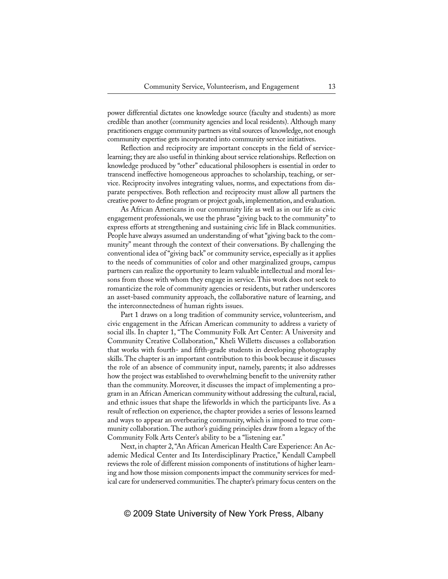power differential dictates one knowledge source (faculty and students) as more credible than another (community agencies and local residents). Although many practitioners engage community partners as vital sources of knowledge, not enough community expertise gets incorporated into community service initiatives.

Reflection and reciprocity are important concepts in the field of servicelearning; they are also useful in thinking about service relationships. Reflection on knowledge produced by "other" educational philosophers is essential in order to transcend ineffective homogeneous approaches to scholarship, teaching, or service. Reciprocity involves integrating values, norms, and expectations from disparate perspectives. Both reflection and reciprocity must allow all partners the creative power to define program or project goals, implementation, and evaluation.

As African Americans in our community life as well as in our life as civic engagement professionals, we use the phrase "giving back to the community" to express efforts at strengthening and sustaining civic life in Black communities. People have always assumed an understanding of what "giving back to the community" meant through the context of their conversations. By challenging the conventional idea of "giving back" or community service, especially as it applies to the needs of communities of color and other marginalized groups, campus partners can realize the opportunity to learn valuable intellectual and moral lessons from those with whom they engage in service. This work does not seek to romanticize the role of community agencies or residents, but rather underscores an asset-based community approach, the collaborative nature of learning, and the interconnectedness of human rights issues.

Part 1 draws on a long tradition of community service, volunteerism, and civic engagement in the African American community to address a variety of social ills. In chapter 1, "The Community Folk Art Center: A University and Community Creative Collaboration," Kheli Willetts discusses a collaboration that works with fourth- and fifth-grade students in developing photography skills. The chapter is an important contribution to this book because it discusses the role of an absence of community input, namely, parents; it also addresses how the project was established to overwhelming benefit to the university rather than the community. Moreover, it discusses the impact of implementing a program in an African American community without addressing the cultural, racial, and ethnic issues that shape the lifeworlds in which the participants live. As a result of reflection on experience, the chapter provides a series of lessons learned and ways to appear an overbearing community, which is imposed to true community collaboration. The author's guiding principles draw from a legacy of the Community Folk Arts Center's ability to be a "listening ear."

Next, in chapter 2, "An African American Health Care Experience: An Academic Medical Center and Its Interdisciplinary Practice," Kendall Campbell reviews the role of different mission components of institutions of higher learning and how those mission components impact the community services for medical care for underserved communities. The chapter's primary focus centers on the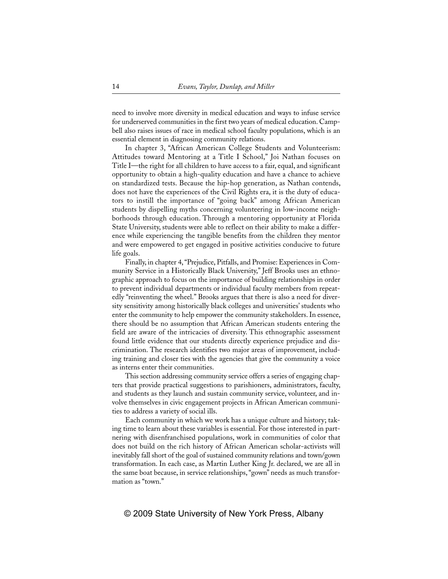need to involve more diversity in medical education and ways to infuse service for underserved communities in the first two years of medical education. Campbell also raises issues of race in medical school faculty populations, which is an essential element in diagnosing community relations.

In chapter 3, "African American College Students and Volunteerism: Attitudes toward Mentoring at a Title I School," Joi Nathan focuses on Title I—the right for all children to have access to a fair, equal, and significant opportunity to obtain a high-quality education and have a chance to achieve on standardized tests. Because the hip-hop generation, as Nathan contends, does not have the experiences of the Civil Rights era, it is the duty of educators to instill the importance of "going back" among African American students by dispelling myths concerning volunteering in low-income neighborhoods through education. Through a mentoring opportunity at Florida State University, students were able to reflect on their ability to make a difference while experiencing the tangible benefits from the children they mentor and were empowered to get engaged in positive activities conducive to future life goals.

Finally, in chapter 4, "Prejudice, Pitfalls, and Promise: Experiences in Community Service in a Historically Black University," Jeff Brooks uses an ethnographic approach to focus on the importance of building relationships in order to prevent individual departments or individual faculty members from repeatedly "reinventing the wheel." Brooks argues that there is also a need for diversity sensitivity among historically black colleges and universities' students who enter the community to help empower the community stakeholders. In essence, there should be no assumption that African American students entering the field are aware of the intricacies of diversity. This ethnographic assessment found little evidence that our students directly experience prejudice and discrimination. The research identifies two major areas of improvement, including training and closer ties with the agencies that give the community a voice as interns enter their communities.

This section addressing community service offers a series of engaging chapters that provide practical suggestions to parishioners, administrators, faculty, and students as they launch and sustain community service, volunteer, and involve themselves in civic engagement projects in African American communities to address a variety of social ills.

Each community in which we work has a unique culture and history; taking time to learn about these variables is essential. For those interested in partnering with disenfranchised populations, work in communities of color that does not build on the rich history of African American scholar-activists will inevitably fall short of the goal of sustained community relations and town/gown transformation. In each case, as Martin Luther King Jr. declared, we are all in the same boat because, in service relationships, "gown" needs as much transformation as "town."